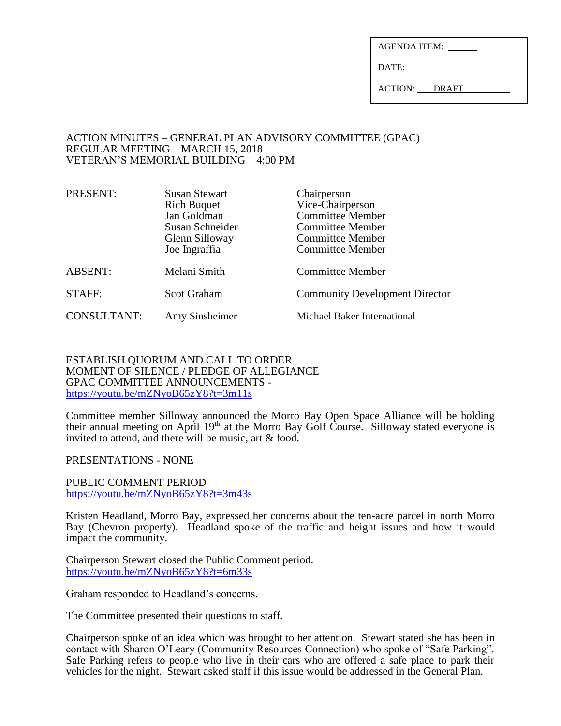| AGENDA ITEM: |  |
|--------------|--|
|              |  |

DATE:

ACTION: DRAFT

#### ACTION MINUTES – GENERAL PLAN ADVISORY COMMITTEE (GPAC) REGULAR MEETING – MARCH 15, 2018 VETERAN'S MEMORIAL BUILDING – 4:00 PM

| PRESENT:           | <b>Susan Stewart</b><br><b>Rich Buquet</b><br>Jan Goldman<br>Susan Schneider<br>Glenn Silloway<br>Joe Ingraffia | Chairperson<br>Vice-Chairperson<br><b>Committee Member</b><br><b>Committee Member</b><br><b>Committee Member</b><br><b>Committee Member</b> |
|--------------------|-----------------------------------------------------------------------------------------------------------------|---------------------------------------------------------------------------------------------------------------------------------------------|
| <b>ABSENT:</b>     | Melani Smith                                                                                                    | <b>Committee Member</b>                                                                                                                     |
| STAFF:             | <b>Scot Graham</b>                                                                                              | <b>Community Development Director</b>                                                                                                       |
| <b>CONSULTANT:</b> | Amy Sinsheimer                                                                                                  | Michael Baker International                                                                                                                 |

### ESTABLISH QUORUM AND CALL TO ORDER MOMENT OF SILENCE / PLEDGE OF ALLEGIANCE GPAC COMMITTEE ANNOUNCEMENTS <https://youtu.be/mZNyoB65zY8?t=3m11s>

Committee member Silloway announced the Morro Bay Open Space Alliance will be holding their annual meeting on April  $19<sup>th</sup>$  at the Morro Bay Golf Course. Silloway stated everyone is invited to attend, and there will be music, art & food.

PRESENTATIONS - NONE

PUBLIC COMMENT PERIOD <https://youtu.be/mZNyoB65zY8?t=3m43s>

Kristen Headland, Morro Bay, expressed her concerns about the ten-acre parcel in north Morro Bay (Chevron property). Headland spoke of the traffic and height issues and how it would impact the community.

Chairperson Stewart closed the Public Comment period. <https://youtu.be/mZNyoB65zY8?t=6m33s>

Graham responded to Headland's concerns.

The Committee presented their questions to staff.

Chairperson spoke of an idea which was brought to her attention. Stewart stated she has been in contact with Sharon O'Leary (Community Resources Connection) who spoke of "Safe Parking". Safe Parking refers to people who live in their cars who are offered a safe place to park their vehicles for the night. Stewart asked staff if this issue would be addressed in the General Plan.